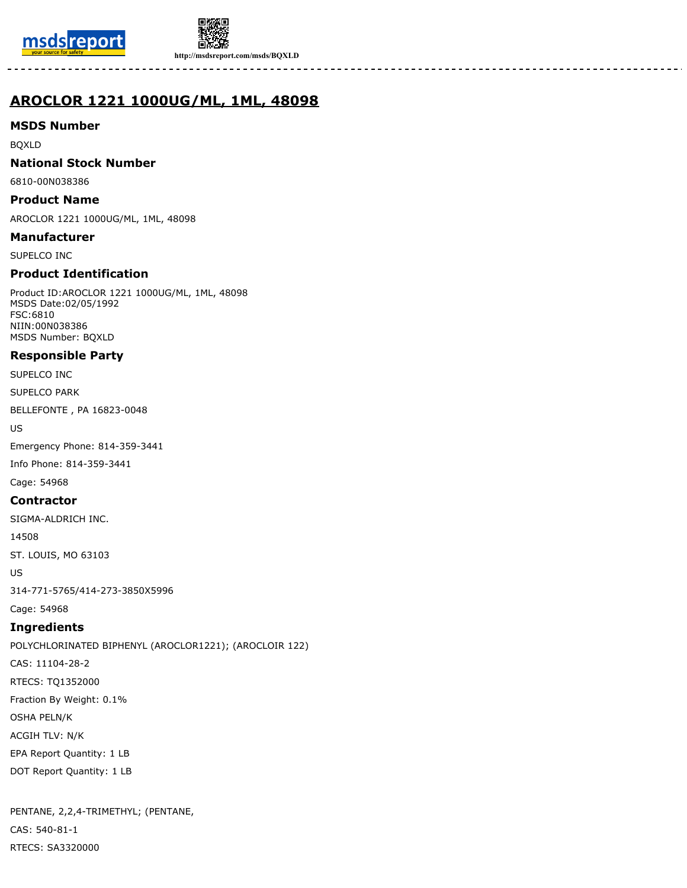



**http://msdsreport.com/msds/BQXLD**

# **AROCLOR 1221 1000UG/ML, 1ML, 48098**

# **MSDS Number**

BQXLD

## **National Stock Number**

6810-00N038386

## **Product Name**

AROCLOR 1221 1000UG/ML, 1ML, 48098

#### **Manufacturer**

SUPELCO INC

# **Product Identification**

Product ID:AROCLOR 1221 1000UG/ML, 1ML, 48098 MSDS Date:02/05/1992 FSC:6810 NIIN:00N038386 MSDS Number: BQXLD

# **Responsible Party**

SUPELCO INC

SUPELCO PARK

BELLEFONTE , PA 16823-0048

US

Emergency Phone: 814-359-3441

Info Phone: 814-359-3441

Cage: 54968

# **Contractor**

SIGMA-ALDRICH INC.

14508

ST. LOUIS, MO 63103

US

314-771-5765/414-273-3850X5996

Cage: 54968

# **Ingredients**

POLYCHLORINATED BIPHENYL (AROCLOR1221); (AROCLOIR 122) CAS: 11104-28-2 RTECS: TQ1352000 Fraction By Weight: 0.1% OSHA PELN/K ACGIH TLV: N/K EPA Report Quantity: 1 LB DOT Report Quantity: 1 LB

PENTANE, 2,2,4-TRIMETHYL; (PENTANE, CAS: 540-81-1 RTECS: SA3320000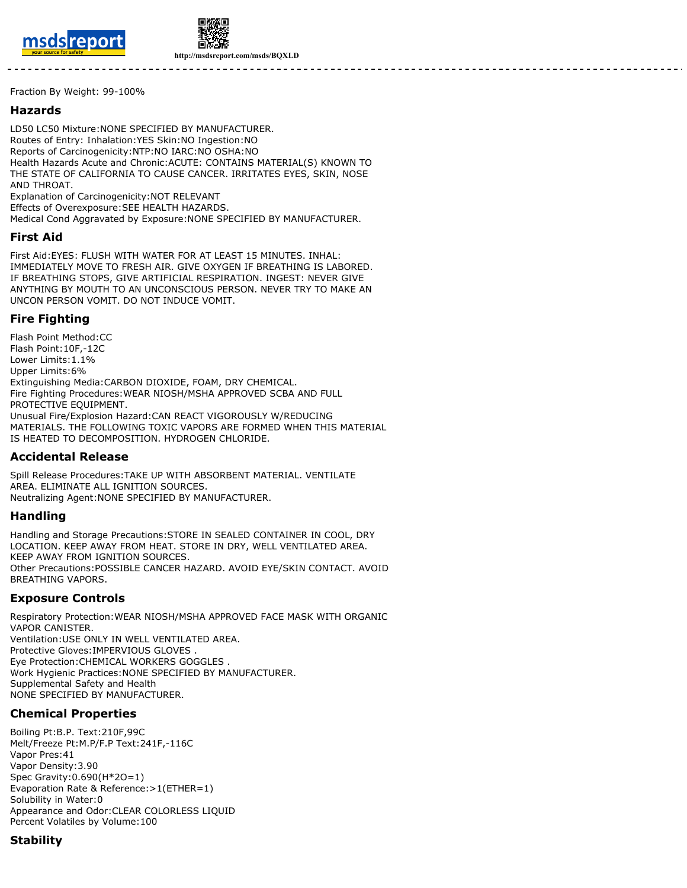



**http://msdsreport.com/msds/BQXLD**

Fraction By Weight: 99-100%

#### **Hazards**

LD50 LC50 Mixture:NONE SPECIFIED BY MANUFACTURER. Routes of Entry: Inhalation:YES Skin:NO Ingestion:NO Reports of Carcinogenicity:NTP:NO IARC:NO OSHA:NO Health Hazards Acute and Chronic:ACUTE: CONTAINS MATERIAL(S) KNOWN TO THE STATE OF CALIFORNIA TO CAUSE CANCER. IRRITATES EYES, SKIN, NOSE AND THROAT. Explanation of Carcinogenicity:NOT RELEVANT Effects of Overexposure:SEE HEALTH HAZARDS. Medical Cond Aggravated by Exposure:NONE SPECIFIED BY MANUFACTURER.

#### **First Aid**

First Aid:EYES: FLUSH WITH WATER FOR AT LEAST 15 MINUTES. INHAL: IMMEDIATELY MOVE TO FRESH AIR. GIVE OXYGEN IF BREATHING IS LABORED. IF BREATHING STOPS, GIVE ARTIFICIAL RESPIRATION. INGEST: NEVER GIVE ANYTHING BY MOUTH TO AN UNCONSCIOUS PERSON. NEVER TRY TO MAKE AN UNCON PERSON VOMIT. DO NOT INDUCE VOMIT.

## **Fire Fighting**

Flash Point Method:CC Flash Point:10F,-12C Lower Limits:1.1% Upper Limits:6% Extinguishing Media:CARBON DIOXIDE, FOAM, DRY CHEMICAL. Fire Fighting Procedures:WEAR NIOSH/MSHA APPROVED SCBA AND FULL PROTECTIVE EQUIPMENT. Unusual Fire/Explosion Hazard:CAN REACT VIGOROUSLY W/REDUCING MATERIALS. THE FOLLOWING TOXIC VAPORS ARE FORMED WHEN THIS MATERIAL IS HEATED TO DECOMPOSITION. HYDROGEN CHLORIDE.

# **Accidental Release**

Spill Release Procedures:TAKE UP WITH ABSORBENT MATERIAL. VENTILATE AREA. ELIMINATE ALL IGNITION SOURCES. Neutralizing Agent:NONE SPECIFIED BY MANUFACTURER.

#### **Handling**

Handling and Storage Precautions:STORE IN SEALED CONTAINER IN COOL, DRY LOCATION. KEEP AWAY FROM HEAT. STORE IN DRY, WELL VENTILATED AREA. KEEP AWAY FROM IGNITION SOURCES. Other Precautions:POSSIBLE CANCER HAZARD. AVOID EYE/SKIN CONTACT. AVOID BREATHING VAPORS.

#### **Exposure Controls**

Respiratory Protection:WEAR NIOSH/MSHA APPROVED FACE MASK WITH ORGANIC VAPOR CANISTER. Ventilation:USE ONLY IN WELL VENTILATED AREA. Protective Gloves:IMPERVIOUS GLOVES . Eye Protection:CHEMICAL WORKERS GOGGLES . Work Hygienic Practices:NONE SPECIFIED BY MANUFACTURER. Supplemental Safety and Health NONE SPECIFIED BY MANUFACTURER.

# **Chemical Properties**

Boiling Pt:B.P. Text:210F,99C Melt/Freeze Pt:M.P/F.P Text:241F,-116C Vapor Pres:41 Vapor Density:3.90 Spec Gravity:0.690(H\*2O=1) Evaporation Rate & Reference:>1(ETHER=1) Solubility in Water:0 Appearance and Odor:CLEAR COLORLESS LIQUID Percent Volatiles by Volume:100

# **Stability**